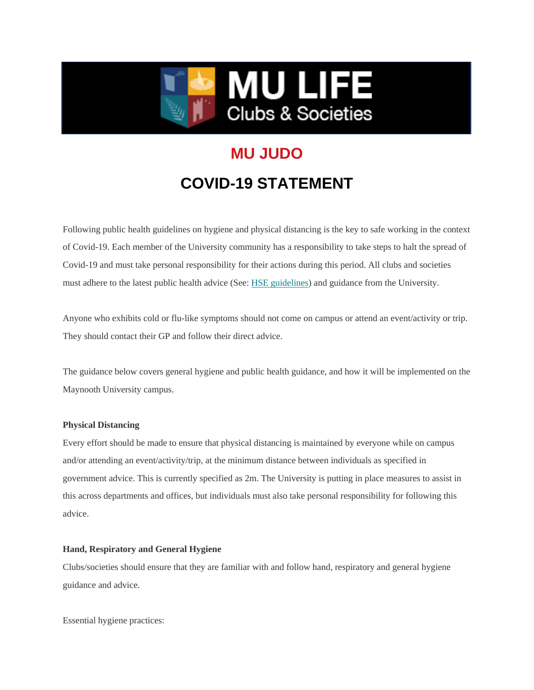

## **MU JUDO**

# **COVID-19 STATEMENT**

Following public health guidelines on hygiene and physical distancing is the key to safe working in the context of Covid-19. Each member of the University community has a responsibility to take steps to halt the spread of Covid-19 and must take personal responsibility for their actions during this period. All clubs and societies must adhere to the latest public health advice (See: [HSE guidelines\)](https://www2.hse.ie/coronavirus/) and guidance from the University.

Anyone who exhibits cold or flu-like symptoms should not come on campus or attend an event/activity or trip. They should contact their GP and follow their direct advice.

The guidance below covers general hygiene and public health guidance, and how it will be implemented on the Maynooth University campus.

### **Physical Distancing**

Every effort should be made to ensure that physical distancing is maintained by everyone while on campus and/or attending an event/activity/trip, at the minimum distance between individuals as specified in government advice. This is currently specified as 2m. The University is putting in place measures to assist in this across departments and offices, but individuals must also take personal responsibility for following this advice.

### **Hand, Respiratory and General Hygiene**

Clubs/societies should ensure that they are familiar with and follow hand, respiratory and general hygiene guidance and advice.

Essential hygiene practices: